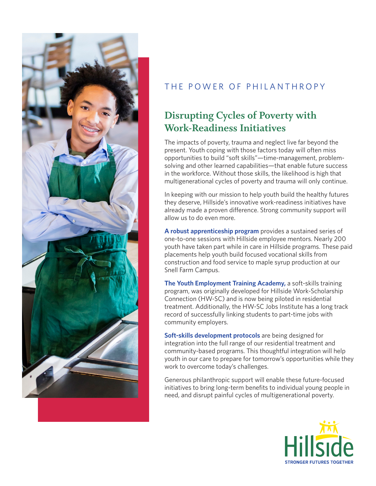

## THE POWER OF PHILANTHROPY

## **Disrupting Cycles of Poverty with Work-Readiness Initiatives**

The impacts of poverty, trauma and neglect live far beyond the present. Youth coping with those factors today will often miss opportunities to build "soft skills"—time-management, problemsolving and other learned capabilities—that enable future success in the workforce. Without those skills, the likelihood is high that multigenerational cycles of poverty and trauma will only continue.

In keeping with our mission to help youth build the healthy futures they deserve, Hillside's innovative work-readiness initiatives have already made a proven difference. Strong community support will allow us to do even more.

**A robust apprenticeship program** provides a sustained series of one-to-one sessions with Hillside employee mentors. Nearly 200 youth have taken part while in care in Hillside programs. These paid placements help youth build focused vocational skills from construction and food service to maple syrup production at our Snell Farm Campus.

**The Youth Employment Training Academy,** a soft-skills training program, was originally developed for Hillside Work-Scholarship Connection (HW-SC) and is now being piloted in residential treatment. Additionally, the HW-SC Jobs Institute has a long track record of successfully linking students to part-time jobs with community employers.

**Soft-skills development protocols** are being designed for integration into the full range of our residential treatment and community-based programs. This thoughtful integration will help youth in our care to prepare for tomorrow's opportunities while they work to overcome today's challenges.

Generous philanthropic support will enable these future-focused initiatives to bring long-term benefits to individual young people in need, and disrupt painful cycles of multigenerational poverty.